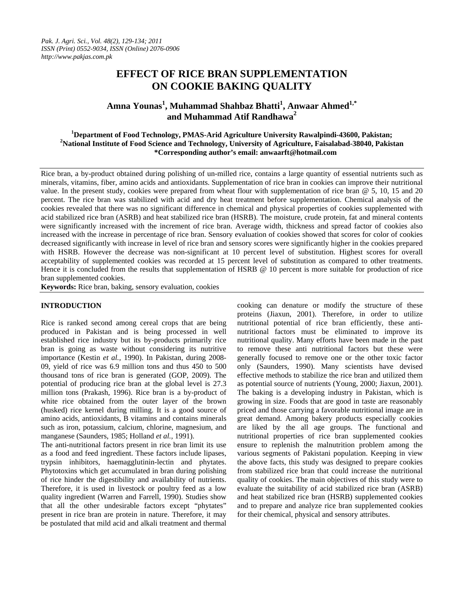# **EFFECT OF RICE BRAN SUPPLEMENTATION ON COOKIE BAKING QUALITY**

**Amna Younas<sup>1</sup> , Muhammad Shahbaz Bhatti<sup>1</sup> , Anwaar Ahmed1,\* and Muhammad Atif Randhawa<sup>2</sup>**

<sup>1</sup> Department of Food Technology, PMAS-Arid Agriculture University Rawalpindi-43600, Pakistan; <sup>2</sup>Notional Institute of Food Science and Technology, University of Agriculture, Feicalabad 28040, Pakistan **National Institute of Food Science and Technology, University of Agriculture, Faisalabad-38040, Pakistan \*Corresponding author's email: anwaarft@hotmail.com** 

Rice bran, a by-product obtained during polishing of un-milled rice, contains a large quantity of essential nutrients such as minerals, vitamins, fiber, amino acids and antioxidants. Supplementation of rice bran in cookies can improve their nutritional value. In the present study, cookies were prepared from wheat flour with supplementation of rice bran @ 5, 10, 15 and 20 percent. The rice bran was stabilized with acid and dry heat treatment before supplementation. Chemical analysis of the cookies revealed that there was no significant difference in chemical and physical properties of cookies supplemented with acid stabilized rice bran (ASRB) and heat stabilized rice bran (HSRB). The moisture, crude protein, fat and mineral contents were significantly increased with the increment of rice bran. Average width, thickness and spread factor of cookies also increased with the increase in percentage of rice bran. Sensory evaluation of cookies showed that scores for color of cookies decreased significantly with increase in level of rice bran and sensory scores were significantly higher in the cookies prepared with HSRB. However the decrease was non-significant at 10 percent level of substitution. Highest scores for overall acceptability of supplemented cookies was recorded at 15 percent level of substitution as compared to other treatments. Hence it is concluded from the results that supplementation of HSRB @ 10 percent is more suitable for production of rice bran supplemented cookies.

**Keywords:** Rice bran, baking, sensory evaluation, cookies

# **INTRODUCTION**

Rice is ranked second among cereal crops that are being produced in Pakistan and is being processed in well established rice industry but its by-products primarily rice bran is going as waste without considering its nutritive importance (Kestin *et al.,* 1990). In Pakistan, during 2008- 09, yield of rice was 6.9 million tons and thus 450 to 500 thousand tons of rice bran is generated (GOP, 2009). The potential of producing rice bran at the global level is 27.3 million tons (Prakash, 1996). Rice bran is a by-product of white rice obtained from the outer layer of the brown (husked) rice kernel during milling. It is a good source of amino acids, antioxidants, B vitamins and contains minerals such as iron, potassium, calcium, chlorine, magnesium, and manganese (Saunders, 1985; Holland *et al.,* 1991).

The anti-nutritional factors present in rice bran limit its use as a food and feed ingredient. These factors include lipases, trypsin inhibitors, haemagglutinin-lectin and phytates. Phytotoxins which get accumulated in bran during polishing of rice hinder the digestibility and availability of nutrients. Therefore, it is used in livestock or poultry feed as a low quality ingredient (Warren and Farrell, 1990). Studies show that all the other undesirable factors except "phytates" present in rice bran are protein in nature. Therefore, it may be postulated that mild acid and alkali treatment and thermal cooking can denature or modify the structure of these proteins (Jiaxun, 2001). Therefore, in order to utilize nutritional potential of rice bran efficiently, these antinutritional factors must be eliminated to improve its nutritional quality. Many efforts have been made in the past to remove these anti nutritional factors but these were generally focused to remove one or the other toxic factor only (Saunders, 1990). Many scientists have devised effective methods to stabilize the rice bran and utilized them as potential source of nutrients (Young, 2000; Jiaxun, 2001). The baking is a developing industry in Pakistan, which is growing in size. Foods that are good in taste are reasonably priced and those carrying a favorable nutritional image are in great demand. Among bakery products especially cookies are liked by the all age groups. The functional and nutritional properties of rice bran supplemented cookies ensure to replenish the malnutrition problem among the various segments of Pakistani population. Keeping in view the above facts, this study was designed to prepare cookies from stabilized rice bran that could increase the nutritional quality of cookies. The main objectives of this study were to evaluate the suitability of acid stabilized rice bran (ASRB) and heat stabilized rice bran (HSRB) supplemented cookies and to prepare and analyze rice bran supplemented cookies for their chemical, physical and sensory attributes.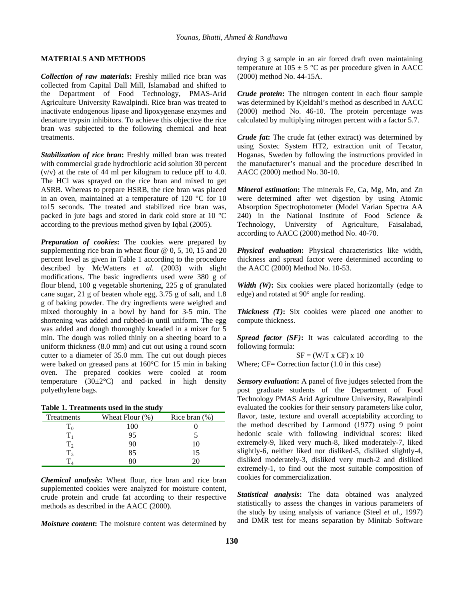# **MATERIALS AND METHODS**

*Collection of raw materials***:** Freshly milled rice bran was collected from Capital Dall Mill, Islamabad and shifted to the Department of Food Technology, PMAS-Arid Agriculture University Rawalpindi. Rice bran was treated to inactivate endogenous lipase and lipoxygenase enzymes and denature trypsin inhibitors. To achieve this objective the rice bran was subjected to the following chemical and heat treatments.

*Stabilization of rice bran***:** Freshly milled bran was treated with commercial grade hydrochloric acid solution 30 percent (v/v) at the rate of 44 ml per kilogram to reduce pH to 4.0. The HCl was sprayed on the rice bran and mixed to get ASRB. Whereas to prepare HSRB, the rice bran was placed in an oven, maintained at a temperature of 120 °C for 10 to15 seconds. The treated and stabilized rice bran was, packed in jute bags and stored in dark cold store at 10 °C according to the previous method given by Iqbal (2005).

*Preparation of cookies***:** The cookies were prepared by supplementing rice bran in wheat flour  $@$  0, 5, 10, 15 and 20 percent level as given in Table 1 according to the procedure described by McWatters *et al.* (2003) with slight modifications. The basic ingredients used were 380 g of flour blend, 100 g vegetable shortening, 225 g of granulated cane sugar, 21 g of beaten whole egg, 3.75 g of salt, and 1.8 g of baking powder. The dry ingredients were weighed and mixed thoroughly in a bowl by hand for 3-5 min. The shortening was added and rubbed-in until uniform. The egg was added and dough thoroughly kneaded in a mixer for 5 min. The dough was rolled thinly on a sheeting board to a uniform thickness (8.0 mm) and cut out using a round scorn cutter to a diameter of 35.0 mm. The cut out dough pieces were baked on greased pans at 160°C for 15 min in baking oven. The prepared cookies were cooled at room temperature  $(30\pm2^{\circ}\text{C})$  and packed in high density polyethylene bags.

| Treatments   | Wheat Flour $(\%)$ | Rice bran $(\%)$ |
|--------------|--------------------|------------------|
|              | 100                |                  |
|              | 95                 |                  |
|              | 90                 |                  |
| $\mathbf{1}$ | 85                 |                  |
|              |                    |                  |

*Chemical analysis***:** Wheat flour, rice bran and rice bran supplemented cookies were analyzed for moisture content, crude protein and crude fat according to their respective methods as described in the AACC (2000).

*Moisture content***:** The moisture content was determined by

drying 3 g sample in an air forced draft oven maintaining temperature at  $105 \pm 5$  °C as per procedure given in AACC (2000) method No. 44-15A.

*Crude protein***:** The nitrogen content in each flour sample was determined by Kjeldahl's method as described in AACC (2000) method No. 46-10. The protein percentage was calculated by multiplying nitrogen percent with a factor 5.7.

*Crude fat***:** The crude fat (ether extract) was determined by using Soxtec System HT2, extraction unit of Tecator, Hoganas, Sweden by following the instructions provided in the manufacturer's manual and the procedure described in AACC (2000) method No. 30-10.

*Mineral estimation***:** The minerals Fe, Ca, Mg, Mn, and Zn were determined after wet digestion by using Atomic Absorption Spectrophotometer (Model Varian Spectra AA 240) in the National Institute of Food Science & Technology, University of Agriculture, Faisalabad, according to AACC (2000) method No. 40-70.

*Physical evaluation***:** Physical characteristics like width, thickness and spread factor were determined according to the AACC (2000) Method No. 10-53.

*Width (W)***:** Six cookies were placed horizontally (edge to edge) and rotated at 90° angle for reading.

*Thickness (T)***:** Six cookies were placed one another to compute thickness.

*Spread factor (SF)***:** It was calculated according to the following formula:

 $SF = (W/T x CF) x 10$ Where; CF= Correction factor (1.0 in this case)

*Sensory evaluation***:** A panel of five judges selected from the post graduate students of the Department of Food Technology PMAS Arid Agriculture University, Rawalpindi evaluated the cookies for their sensory parameters like color, flavor, taste, texture and overall acceptability according to the method described by Larmond (1977) using 9 point hedonic scale with following individual scores: liked extremely-9, liked very much-8, liked moderately-7, liked slightly-6, neither liked nor disliked-5, disliked slightly-4, disliked moderately-3, disliked very much-2 and disliked extremely-1, to find out the most suitable composition of cookies for commercialization.

*Statistical analysis***:** The data obtained was analyzed statistically to assess the changes in various parameters of the study by using analysis of variance (Steel *et al.,* 1997) and DMR test for means separation by Minitab Software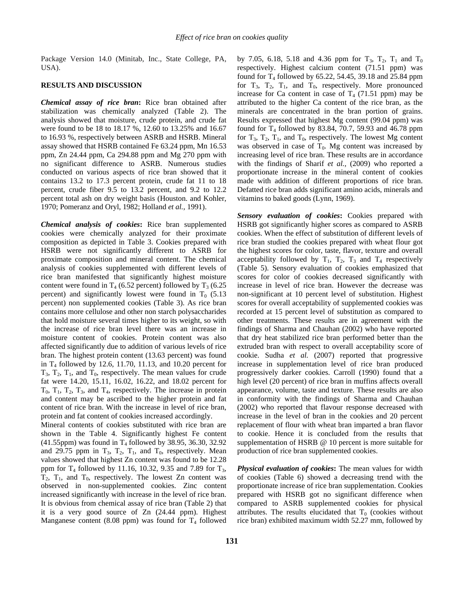Package Version 14.0 (Minitab, Inc., State College, PA, USA).

#### **RESULTS AND DISCUSSION**

*Chemical assay of rice bran***:** Rice bran obtained after stabilization was chemically analyzed (Table 2). The analysis showed that moisture, crude protein, and crude fat were found to be 18 to 18.17 %, 12.60 to 13.25% and 16.67 to 16.93 %, respectively between ASRB and HSRB. Mineral assay showed that HSRB contained Fe 63.24 ppm, Mn 16.53 ppm, Zn 24.44 ppm, Ca 294.88 ppm and Mg 270 ppm with no significant difference to ASRB. Numerous studies conducted on various aspects of rice bran showed that it contains 13.2 to 17.3 percent protein, crude fat 11 to 18 percent, crude fiber 9.5 to 13.2 percent, and 9.2 to 12.2 percent total ash on dry weight basis (Houston. and Kohler, 1970; Pomeranz and Oryl, 1982; Holland *et al.,* 1991).

*Chemical analysis of cookies***:** Rice bran supplemented cookies were chemically analyzed for their proximate composition as depicted in Table 3. Cookies prepared with HSRB were not significantly different to ASRB for proximate composition and mineral content. The chemical analysis of cookies supplemented with different levels of rice bran manifested that significantly highest moisture content were found in  $T_4$  (6.52 percent) followed by  $T_3$  (6.25 percent) and significantly lowest were found in  $T_0$  (5.13) percent) non supplemented cookies (Table 3). As rice bran contains more cellulose and other non starch polysaccharides that hold moisture several times higher to its weight, so with the increase of rice bran level there was an increase in moisture content of cookies. Protein content was also affected significantly due to addition of various levels of rice bran. The highest protein content (13.63 percent) was found in T4 followed by 12.6, 11.70, 11.13, and 10.20 percent for  $T_3$ ,  $T_2$ ,  $T_1$ , and  $T_0$ , respectively. The mean values for crude fat were 14.20, 15.11, 16.02, 16.22, and 18.02 percent for  $T_0$ ,  $T_1$ ,  $T_2$ ,  $T_3$ , and  $T_4$ , respectively. The increase in protein and content may be ascribed to the higher protein and fat content of rice bran. With the increase in level of rice bran, protein and fat content of cookies increased accordingly.

Mineral contents of cookies substituted with rice bran are shown in the Table 4. Significantly highest Fe content  $(41.55$ ppm) was found in T<sub>4</sub> followed by 38.95, 36.30, 32.92 and 29.75 ppm in  $T_3$ ,  $T_2$ ,  $T_1$ , and  $T_0$ , respectively. Mean values showed that highest Zn content was found to be 12.28 ppm for  $T_4$  followed by 11.16, 10.32, 9.35 and 7.89 for  $T_3$ ,  $T_2$ ,  $T_1$ , and  $T_0$ , respectively. The lowest Zn content was observed in non-supplemented cookies. Zinc content increased significantly with increase in the level of rice bran. It is obvious from chemical assay of rice bran (Table 2) that it is a very good source of Zn (24.44 ppm). Highest Manganese content (8.08 ppm) was found for  $T_4$  followed by 7.05, 6.18, 5.18 and 4.36 ppm for  $T_3$ ,  $T_2$ ,  $T_1$  and  $T_0$ respectively. Highest calcium content (71.51 ppm) was found for  $T_4$  followed by 65.22, 54.45, 39.18 and 25.84 ppm for  $T_3$ ,  $T_2$ ,  $T_1$ , and  $T_0$ , respectively. More pronounced increase for Ca content in case of  $T_4$  (71.51 ppm) may be attributed to the higher Ca content of the rice bran, as the minerals are concentrated in the bran portion of grains. Results expressed that highest Mg content (99.04 ppm) was found for  $T_4$  followed by 83.84, 70.7, 59.93 and 46.78 ppm for  $T_3$ ,  $T_2$ ,  $T_1$ , and  $T_0$ , respectively. The lowest Mg content was observed in case of  $T_0$ . Mg content was increased by increasing level of rice bran. These results are in accordance with the findings of Sharif *et al.,* (2009) who reported a proportionate increase in the mineral content of cookies made with addition of different proportions of rice bran. Defatted rice bran adds significant amino acids, minerals and vitamins to baked goods (Lynn, 1969).

*Sensory evaluation of cookies***:** Cookies prepared with HSRB got significantly higher scores as compared to ASRB cookies. When the effect of substitution of different levels of rice bran studied the cookies prepared with wheat flour got the highest scores for color, taste, flavor, texture and overall acceptability followed by  $T_1$ ,  $T_2$ ,  $T_3$  and  $T_4$  respectively (Table 5). Sensory evaluation of cookies emphasized that scores for color of cookies decreased significantly with increase in level of rice bran. However the decrease was non-significant at 10 percent level of substitution. Highest scores for overall acceptability of supplemented cookies was recorded at 15 percent level of substitution as compared to other treatments. These results are in agreement with the findings of Sharma and Chauhan (2002) who have reported that dry heat stabilized rice bran performed better than the extruded bran with respect to overall acceptability score of cookie. Sudha *et al.* (2007) reported that progressive increase in supplementation level of rice bran produced progressively darker cookies. Carroll (1990) found that a high level (20 percent) of rice bran in muffins affects overall appearance, volume, taste and texture. These results are also in conformity with the findings of Sharma and Chauhan (2002) who reported that flavour response decreased with increase in the level of bran in the cookies and 20 percent replacement of flour with wheat bran imparted a bran flavor to cookie. Hence it is concluded from the results that supplementation of HSRB @ 10 percent is more suitable for production of rice bran supplemented cookies.

*Physical evaluation of cookies***:** The mean values for width of cookies (Table 6) showed a decreasing trend with the proportionate increase of rice bran supplementation. Cookies prepared with HSRB got no significant difference when compared to ASRB supplemented cookies for physical attributes. The results elucidated that  $T_0$  (cookies without rice bran) exhibited maximum width 52.27 mm, followed by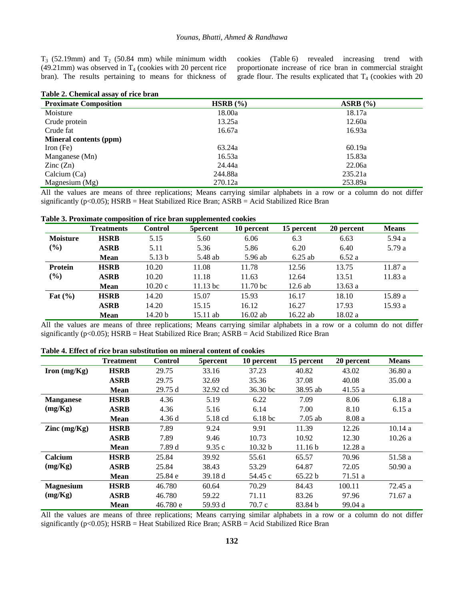$T_3$  (52.19mm) and  $T_2$  (50.84 mm) while minimum width (49.21mm) was observed in  $T_4$  (cookies with 20 percent rice bran). The results pertaining to means for thickness of cookies (Table 6) revealed increasing trend with proportionate increase of rice bran in commercial straight grade flour. The results explicated that  $T_4$  (cookies with 20

| Table 2. Chemical assay of rice bran |
|--------------------------------------|
|--------------------------------------|

| <b>Proximate Composition</b>  | HSRB $(\% )$ | $ASRB$ $(\% )$ |
|-------------------------------|--------------|----------------|
| Moisture                      | 18.00a       | 18.17a         |
| Crude protein                 | 13.25a       | 12.60a         |
| Crude fat                     | 16.67a       | 16.93a         |
| <b>Mineral contents (ppm)</b> |              |                |
| Iron $(Fe)$                   | 63.24a       | 60.19a         |
| Manganese (Mn)                | 16.53a       | 15.83a         |
| $\text{Zinc}(\text{Zn})$      | 24.44a       | 22.06a         |
| Calcium (Ca)                  | 244.88a      | 235.21a        |
| Magnesium (Mg)                | 270.12a      | 253.89a        |

All the values are means of three replications; Means carrying similar alphabets in a row or a column do not differ significantly ( $p<0.05$ ); HSRB = Heat Stabilized Rice Bran; ASRB = Acid Stabilized Rice Bran

#### **Table 3. Proximate composition of rice bran supplemented cookies**

|                 | <b>Treatments</b> | <b>Control</b>     | 5 percent  | 10 percent          | 15 percent | 20 percent | <b>Means</b> |
|-----------------|-------------------|--------------------|------------|---------------------|------------|------------|--------------|
| <b>Moisture</b> | <b>HSRB</b>       | 5.15               | 5.60       | 6.06                | 6.3        | 6.63       | 5.94a        |
| $(\%)$          | <b>ASRB</b>       | 5.11               | 5.36       | 5.86                | 6.20       | 6.40       | 5.79 a       |
|                 | <b>Mean</b>       | 5.13 <sub>b</sub>  | 5.48 ab    | 5.96 ab             | $6.25$ ab  | 6.52a      |              |
| <b>Protein</b>  | <b>HSRB</b>       | 10.20              | 11.08      | 11.78               | 12.56      | 13.75      | 11.87a       |
| (%)             | <b>ASRB</b>       | 10.20              | 11.18      | 11.63               | 12.64      | 13.51      | 11.83a       |
|                 | <b>Mean</b>       | 10.20c             | $11.13$ bc | 11.70 <sub>bc</sub> | $12.6$ ab  | 13.63a     |              |
| Fat $(\% )$     | <b>HSRB</b>       | 14.20              | 15.07      | 15.93               | 16.17      | 18.10      | 15.89a       |
|                 | <b>ASRB</b>       | 14.20              | 15.15      | 16.12               | 16.27      | 17.93      | 15.93a       |
|                 | <b>Mean</b>       | 14.20 <sub>b</sub> | 15.11 ab   | $16.02$ ab          | $16.22$ ab | 18.02 a    |              |

All the values are means of three replications; Means carrying similar alphabets in a row or a column do not differ significantly ( $p<0.05$ ); HSRB = Heat Stabilized Rice Bran; ASRB = Acid Stabilized Rice Bran

# **Table 4. Effect of rice bran substitution on mineral content of cookies**

|                  | <b>Treatment</b> | <b>Control</b> | 5percent | 10 percent            | 15 percent         | 20 percent | <b>Means</b> |
|------------------|------------------|----------------|----------|-----------------------|--------------------|------------|--------------|
| Iron $(mg/Kg)$   | <b>HSRB</b>      | 29.75          | 33.16    | 37.23                 | 40.82              | 43.02      | 36.80a       |
|                  | <b>ASRB</b>      | 29.75          | 32.69    | 35.36                 | 37.08              | 40.08      | 35.00a       |
|                  | <b>Mean</b>      | 29.75d         | 32.92 cd | $36.30 \,\mathrm{bc}$ | 38.95 ab           | 41.55a     |              |
| <b>Manganese</b> | <b>HSRB</b>      | 4.36           | 5.19     | 6.22                  | 7.09               | 8.06       | 6.18a        |
| (mg/Kg)          | <b>ASRB</b>      | 4.36           | 5.16     | 6.14                  | 7.00               | 8.10       | 6.15a        |
|                  | <b>Mean</b>      | 4.36d          | 5.18 cd  | 6.18 <sub>b</sub> c   | $7.05$ ab          | 8.08a      |              |
| Zinc $(mg/Kg)$   | <b>HSRB</b>      | 7.89           | 9.24     | 9.91                  | 11.39              | 12.26      | 10.14a       |
|                  | <b>ASRB</b>      | 7.89           | 9.46     | 10.73                 | 10.92              | 12.30      | 10.26a       |
|                  | <b>Mean</b>      | 7.89 d         | 9.35c    | 10.32 b               | 11.16 <sub>b</sub> | 12.28a     |              |
| Calcium          | <b>HSRB</b>      | 25.84          | 39.92    | 55.61                 | 65.57              | 70.96      | 51.58 a      |
| (mg/Kg)          | <b>ASRB</b>      | 25.84          | 38.43    | 53.29                 | 64.87              | 72.05      | 50.90 a      |
|                  | <b>Mean</b>      | 25.84 e        | 39.18 d  | 54.45 c               | 65.22 b            | 71.51 a    |              |
| <b>Magnesium</b> | <b>HSRB</b>      | 46.780         | 60.64    | 70.29                 | 84.43              | 100.11     | 72.45 a      |
| (mg/Kg)          | <b>ASRB</b>      | 46.780         | 59.22    | 71.11                 | 83.26              | 97.96      | 71.67 a      |
|                  | <b>Mean</b>      | 46.780 e       | 59.93 d  | 70.7 c                | 83.84 b            | 99.04a     |              |

All the values are means of three replications; Means carrying similar alphabets in a row or a column do not differ significantly ( $p<0.05$ ); HSRB = Heat Stabilized Rice Bran; ASRB = Acid Stabilized Rice Bran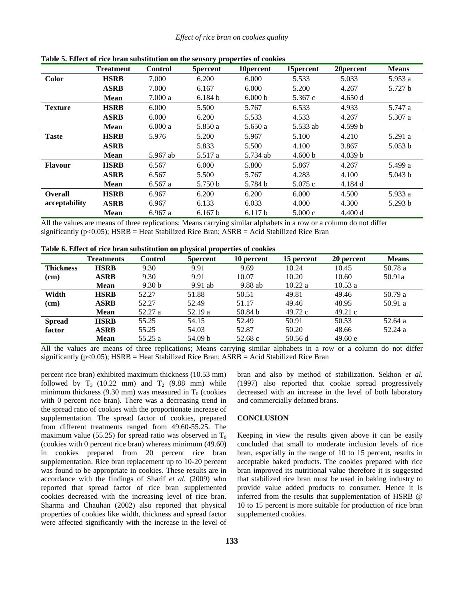|                | <b>Treatment</b> | <b>Control</b> | 5percent | 10 percent | 15 percent | 20 percent | <b>Means</b> |
|----------------|------------------|----------------|----------|------------|------------|------------|--------------|
| <b>Color</b>   | <b>HSRB</b>      | 7.000          | 6.200    | 6.000      | 5.533      | 5.033      | 5.953 a      |
|                | <b>ASRB</b>      | 7.000          | 6.167    | 6.000      | 5.200      | 4.267      | 5.727 b      |
|                | <b>Mean</b>      | 7.000a         | 6.184 b  | 6.000 b    | 5.367 c    | 4.650 d    |              |
| <b>Texture</b> | <b>HSRB</b>      | 6.000          | 5.500    | 5.767      | 6.533      | 4.933      | 5.747 a      |
|                | <b>ASRB</b>      | 6.000          | 6.200    | 5.533      | 4.533      | 4.267      | 5.307 a      |
|                | <b>Mean</b>      | 6.000a         | 5.850 a  | 5.650a     | 5.533 ab   | 4.599 b    |              |
| <b>Taste</b>   | <b>HSRB</b>      | 5.976          | 5.200    | 5.967      | 5.100      | 4.210      | 5.291 a      |
|                | <b>ASRB</b>      |                | 5.833    | 5.500      | 4.100      | 3.867      | 5.053 b      |
|                | <b>Mean</b>      | 5.967 ab       | 5.517 a  | 5.734 ab   | 4.600 b    | 4.039 b    |              |
| <b>Flavour</b> | <b>HSRB</b>      | 6.567          | 6.000    | 5.800      | 5.867      | 4.267      | 5.499 a      |
|                | <b>ASRB</b>      | 6.567          | 5.500    | 5.767      | 4.283      | 4.100      | 5.043 b      |
|                | <b>Mean</b>      | 6.567a         | 5.750 b  | 5.784 b    | 5.075c     | 4.184 d    |              |
| <b>Overall</b> | <b>HSRB</b>      | 6.967          | 6.200    | 6.200      | 6.000      | 4.500      | 5.933 a      |
| acceptability  | <b>ASRB</b>      | 6.967          | 6.133    | 6.033      | 4.000      | 4.300      | 5.293 b      |
|                | <b>Mean</b>      | 6.967 a        | 6.167 b  | 6.117 b    | 5.000c     | 4.400 d    |              |

**Table 5. Effect of rice bran substitution on the sensory properties of cookies** 

All the values are means of three replications; Means carrying similar alphabets in a row or a column do not differ significantly ( $p<0.05$ ); HSRB = Heat Stabilized Rice Bran; ASRB = Acid Stabilized Rice Bran

| Table 6. Effect of rice bran substitution on physical properties of cookies |  |  |  |
|-----------------------------------------------------------------------------|--|--|--|
|-----------------------------------------------------------------------------|--|--|--|

|                  | <b>Treatments</b> | <b>Control</b>    | 5 percent | 10 percent         | 15 percent | 20 percent | <b>Means</b> |
|------------------|-------------------|-------------------|-----------|--------------------|------------|------------|--------------|
| <b>Thickness</b> | <b>HSRB</b>       | 9.30              | 9.91      | 9.69               | 10.24      | 10.45      | 50.78 a      |
| (cm)             | <b>ASRB</b>       | 9.30              | 9.91      | 10.07              | 10.20      | 10.60      | 50.91a       |
|                  | <b>Mean</b>       | 9.30 <sub>b</sub> | $9.91$ ab | 9.88 ab            | 10.22 a    | 10.53a     |              |
| Width            | <b>HSRB</b>       | 52.27             | 51.88     | 50.51              | 49.81      | 49.46      | 50.79a       |
| (cm)             | <b>ASRB</b>       | 52.27             | 52.49     | 51.17              | 49.46      | 48.95      | 50.91 a      |
|                  | <b>Mean</b>       | 52.27 a           | 52.19 a   | 50.84 <sub>b</sub> | 49.72c     | 49.21c     |              |
| <b>Spread</b>    | <b>HSRB</b>       | 55.25             | 54.15     | 52.49              | 50.91      | 50.53      | 52.64 a      |
| factor           | <b>ASRB</b>       | 55.25             | 54.03     | 52.87              | 50.20      | 48.66      | 52.24a       |
|                  | <b>Mean</b>       | 55.25 a           | 54.09 b   | 52.68c             | 50.56d     | 49.60 e    |              |

All the values are means of three replications; Means carrying similar alphabets in a row or a column do not differ significantly ( $p<0.05$ ); HSRB = Heat Stabilized Rice Bran; ASRB = Acid Stabilized Rice Bran

percent rice bran) exhibited maximum thickness (10.53 mm) followed by  $T_3$  (10.22 mm) and  $T_2$  (9.88 mm) while minimum thickness (9.30 mm) was measured in  $T_0$  (cookies with 0 percent rice bran). There was a decreasing trend in the spread ratio of cookies with the proportionate increase of supplementation. The spread factor of cookies, prepared from different treatments ranged from 49.60-55.25. The maximum value (55.25) for spread ratio was observed in  $T_0$ (cookies with 0 percent rice bran) whereas minimum (49.60) in cookies prepared from 20 percent rice bran supplementation. Rice bran replacement up to 10-20 percent was found to be appropriate in cookies. These results are in accordance with the findings of Sharif *et al.* (2009) who reported that spread factor of rice bran supplemented cookies decreased with the increasing level of rice bran. Sharma and Chauhan (2002) also reported that physical properties of cookies like width, thickness and spread factor were affected significantly with the increase in the level of bran and also by method of stabilization. Sekhon *et al.*  (1997) also reported that cookie spread progressively decreased with an increase in the level of both laboratory and commercially defatted brans.

#### **CONCLUSION**

Keeping in view the results given above it can be easily concluded that small to moderate inclusion levels of rice bran, especially in the range of 10 to 15 percent, results in acceptable baked products. The cookies prepared with rice bran improved its nutritional value therefore it is suggested that stabilized rice bran must be used in baking industry to provide value added products to consumer. Hence it is inferred from the results that supplementation of HSRB @ 10 to 15 percent is more suitable for production of rice bran supplemented cookies.